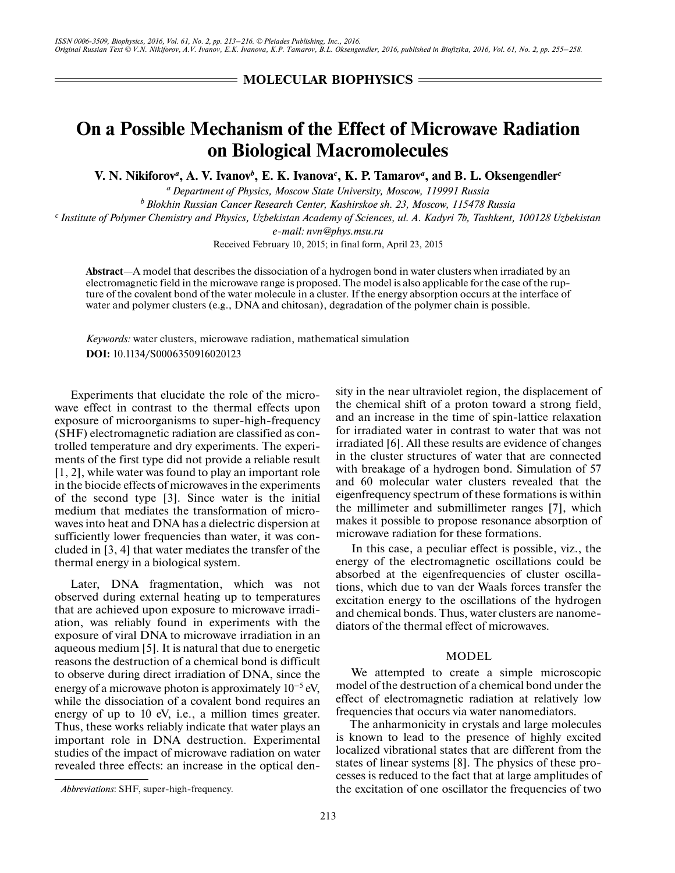# **MOLECULAR BIOPHYSICS** =

# **On a Possible Mechanism of the Effect of Microwave Radiation on Biological Macromolecules**

**V. N. Nikiforov<sup>***a***</sup>, A. V. Ivanov<sup>***b***</sup>, E. K. Ivanova<sup>***c***</sup>, K. P. Tamarov<sup>***a***</sup>, and B. L. Oksengendler<sup>***c***</sup>** 

*a Department of Physics, Moscow State University, Moscow, 119991 Russia b Blokhin Russian Cancer Research Center, Kashirskoe sh. 23, Moscow, 115478 Russia c Institute of Polymer Chemistry and Physics, Uzbekistan Academy of Sciences, ul. A. Kadyri 7b, Tashkent, 100128 Uzbekistan e-mail: nvn@phys.msu.ru*

Received February 10, 2015; in final form, April 23, 2015

**Abstract**—A model that describes the dissociation of a hydrogen bond in water clusters when irradiated by an electromagnetic field in the microwave range is proposed. The model is also applicable for the case of the rupture of the covalent bond of the water molecule in a cluster. If the energy absorption occurs at the interface of water and polymer clusters (e.g., DNA and chitosan), degradation of the polymer chain is possible.

*Keywords:* water clusters, microwave radiation, mathematical simulation **DOI:** 10.1134/S0006350916020123

Experiments that elucidate the role of the microwave effect in contrast to the thermal effects upon exposure of microorganisms to super-high-frequency (SHF) electromagnetic radiation are classified as controlled temperature and dry experiments. The experiments of the first type did not provide a reliable result [1, 2], while water was found to play an important role in the biocide effects of microwaves in the experiments of the second type [3]. Since water is the initial medium that mediates the transformation of microwaves into heat and DNA has a dielectric dispersion at sufficiently lower frequencies than water, it was concluded in [3, 4] that water mediates the transfer of the thermal energy in a biological system.

Later, DNA fragmentation, which was not observed during external heating up to temperatures that are achieved upon exposure to microwave irradiation, was reliably found in experiments with the exposure of viral DNA to microwave irradiation in an aqueous medium [5]. It is natural that due to energetic reasons the destruction of a chemical bond is difficult to observe during direct irradiation of DNA, since the energy of a microwave photon is approximately  $10^{-5}$  eV, while the dissociation of a covalent bond requires an energy of up to 10 eV, i.e., a million times greater. Thus, these works reliably indicate that water plays an important role in DNA destruction. Experimental studies of the impact of microwave radiation on water revealed three effects: an increase in the optical density in the near ultraviolet region, the displacement of the chemical shift of a proton toward a strong field, and an increase in the time of spin-lattice relaxation for irradiated water in contrast to water that was not irradiated [6]. All these results are evidence of changes in the cluster structures of water that are connected with breakage of a hydrogen bond. Simulation of 57 and 60 molecular water clusters revealed that the eigenfrequency spectrum of these formations is within the millimeter and submillimeter ranges [7], which makes it possible to propose resonance absorption of microwave radiation for these formations.

In this case, a peculiar effect is possible, viz., the energy of the electromagnetic oscillations could be absorbed at the eigenfrequencies of cluster oscillations, which due to van der Waals forces transfer the excitation energy to the oscillations of the hydrogen and chemical bonds. Thus, water clusters are nanomediators of the thermal effect of microwaves.

## MODEL

We attempted to create a simple microscopic model of the destruction of a chemical bond under the effect of electromagnetic radiation at relatively low frequencies that occurs via water nanomediators.

The anharmonicity in crystals and large molecules is known to lead to the presence of highly excited localized vibrational states that are different from the states of linear systems [8]. The physics of these processes is reduced to the fact that at large amplitudes of *Abbreviations*: SHF, super-high-frequency. the excitation of one oscillator the frequencies of two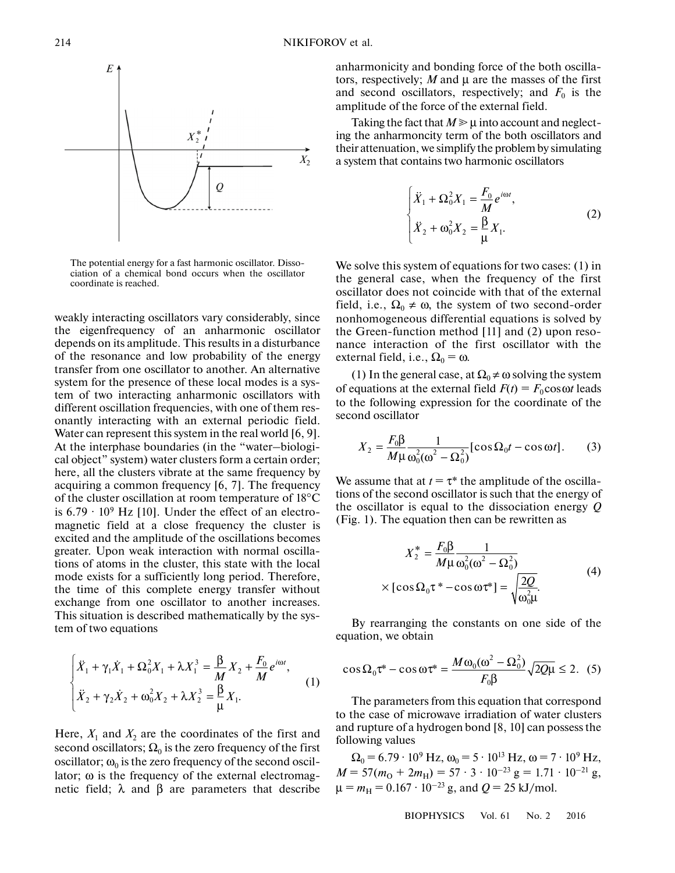

The potential energy for a fast harmonic oscillator. Dissociation of a chemical bond occurs when the oscillator coordinate is reached.

weakly interacting oscillators vary considerably, since the eigenfrequency of an anharmonic oscillator depends on its amplitude. This results in a disturbance of the resonance and low probability of the energy transfer from one oscillator to another. An alternative system for the presence of these local modes is a system of two interacting anharmonic oscillators with different oscillation frequencies, with one of them resonantly interacting with an external periodic field. Water can represent this system in the real world [6, 9]. At the interphase boundaries (in the "water–biological object" system) water clusters form a certain order; here, all the clusters vibrate at the same frequency by acquiring a common frequency [6, 7]. The frequency of the cluster oscillation at room temperature of 18°C is  $6.79 \cdot 10^9$  Hz [10]. Under the effect of an electromagnetic field at a close frequency the cluster is excited and the amplitude of the oscillations becomes greater. Upon weak interaction with normal oscillations of atoms in the cluster, this state with the local mode exists for a sufficiently long period. Therefore, the time of this complete energy transfer without exchange from one oscillator to another increases. This situation is described mathematically by the system of two equations 0<br>1<br>.

n of two equations  
\n
$$
\begin{cases}\n\ddot{X}_1 + \gamma_1 \dot{X}_1 + \Omega_0^2 X_1 + \lambda X_1^3 = \frac{\beta}{M} X_2 + \frac{F_0}{M} e^{i\omega t}, \\
\dot{X}_2 + \gamma_2 \dot{X}_2 + \omega_0^2 X_2 + \lambda X_2^3 = \frac{\beta}{\mu} X_1.\n\end{cases}
$$
\n(1)

Here,  $X_1$  and  $X_2$  are the coordinates of the first and second oscillators;  $\Omega_0$  is the zero frequency of the first oscillator;  $\omega_0$  is the zero frequency of the second oscillator;  $\omega$  is the frequency of the external electromagnetic field;  $\lambda$  and  $\beta$  are parameters that describe anharmonicity and bonding force of the both oscillators, respectively; *M* and μ are the masses of the first and second oscillators, respectively; and  $F_0$  is the amplitude of the force of the external field.

Taking the fact that  $M \geq \mu$  into account and neglecting the anharmoncity term of the both oscillators and their attenuation, we simplify the problem by simulating a system that contains two harmonic oscillators

$$
\begin{cases}\n\ddot{X}_1 + \Omega_0^2 X_1 = \frac{F_0}{M} e^{i\omega t}, \\
\ddot{X}_2 + \omega_0^2 X_2 = \frac{\beta}{\mu} X_1.\n\end{cases}
$$
\n(2)

We solve this system of equations for two cases: (1) in the general case, when the frequency of the first oscillator does not coincide with that of the external field, i.e.,  $\Omega_0 \neq \omega$ , the system of two second-order nonhomogeneous differential equations is solved by the Green-function method [11] and (2) upon resonance interaction of the first oscillator with the external field, i.e.,  $\Omega_0 = \omega$ .

(1) In the general case, at  $\Omega_0 \neq \omega$  solving the system of equations at the external field  $F(t) = F_0 \cos \omega t$  leads to the following expression for the coordinate of the second oscillator

$$
X_2 = \frac{F_0 \beta}{M \mu} \frac{1}{\omega_0^2 (\omega^2 - \Omega_0^2)} [\cos \Omega_0 t - \cos \omega t]. \tag{3}
$$

We assume that at  $t = \tau^*$  the amplitude of the oscillations of the second oscillator is such that the energy of the oscillator is equal to the dissociation energy *Q* (Fig. 1). The equation then can be rewritten as

$$
X_2^* = \frac{F_0 \beta}{M \mu} \frac{1}{\omega_0^2 (\omega^2 - \Omega_0^2)}
$$
  
× [cos  $\Omega_0 \tau^*$  - cos  $\omega \tau^*$ ] =  $\sqrt{\frac{2Q}{\omega_0^2 \mu}}$ . (4)

By rearranging the constants on one side of the equation, we obtain

$$
\cos\Omega_0 \tau^* - \cos\omega \tau^* = \frac{M\omega_0(\omega^2 - \Omega_0^2)}{F_0 \beta} \sqrt{2Q\mu} \le 2. \tag{5}
$$

The parameters from this equation that correspond to the case of microwave irradiation of water clusters and rupture of a hydrogen bond [8, 10] can possess the following values

 $\Omega_0 = 6.79 \cdot 10^9 \text{ Hz}, \omega_0 = 5 \cdot 10^{13} \text{ Hz}, \omega = 7 \cdot 10^9 \text{ Hz},$  $M = 57(m<sub>O</sub> + 2m<sub>H</sub>) = 57 \cdot 3 \cdot 10^{-23}$  g = 1.71 · 10<sup>-21</sup> g,  $\mu = m_H = 0.167 \cdot 10^{-23}$  g, and  $Q = 25$  kJ/mol.

BIOPHYSICS Vol. 61 No. 2 2016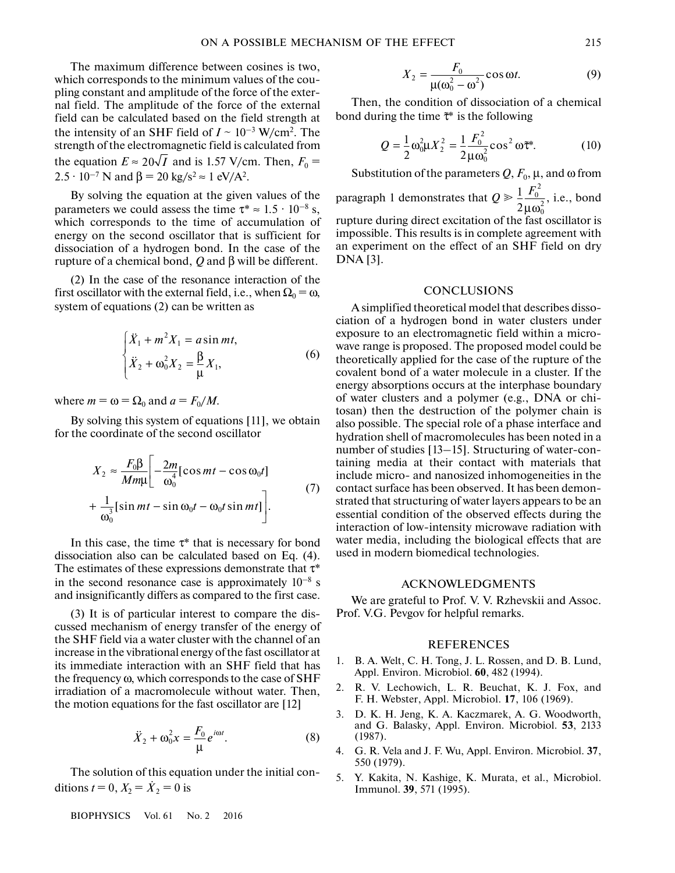The maximum difference between cosines is two, which corresponds to the minimum values of the coupling constant and amplitude of the force of the external field. The amplitude of the force of the external field can be calculated based on the field strength at the intensity of an SHF field of  $I \sim 10^{-3}$  W/cm<sup>2</sup>. The strength of the electromagnetic field is calculated from the equation  $E \approx 20\sqrt{I}$  and is 1.57 V/cm. Then,  $F_0 =$  $2.5 \cdot 10^{-7}$  N and  $\beta = 20$  kg/s<sup>2</sup>  $\approx 1$  eV/A<sup>2</sup>.

By solving the equation at the given values of the parameters we could assess the time  $\tau^* \approx 1.5 \cdot 10^{-8}$  s, which corresponds to the time of accumulation of energy on the second oscillator that is sufficient for dissociation of a hydrogen bond. In the case of the rupture of a chemical bond, *Q* and β will be different.

 $(2)$  In the case of the resonance interaction of the first oscillator with the external field, i.e., when  $\Omega_0 = \omega$ , system of equations (2) can be written as

$$
\begin{cases}\n\ddot{X}_1 + m^2 X_1 = a \sin mt, \\
\ddot{X}_2 + \omega_0^2 X_2 = \frac{\beta}{\mu} X_1,\n\end{cases}
$$
\n(6)

where  $m = \omega = \Omega_0$  and  $a = F_0/M$ .

By solving this system of equations [11], we obtain for the coordinate of the second oscillator

$$
X_2 \approx \frac{F_0 \beta}{M m \mu} \left[ -\frac{2m}{\omega_0^4} [\cos mt - \cos \omega_0 t] + \frac{1}{\omega_0^3} [\sin mt - \sin \omega_0 t - \omega_0 t \sin mt] \right].
$$
 (7)

In this case, the time  $\tau^*$  that is necessary for bond dissociation also can be calculated based on Eq. (4). The estimates of these expressions demonstrate that  $\tau^*$ in the second resonance case is approximately  $10^{-8}$  s and insignificantly differs as compared to the first case.

(3) It is of particular interest to compare the discussed mechanism of energy transfer of the energy of the SHF field via a water cluster with the channel of an increase in the vibrational energy of the fast oscillator at its immediate interaction with an SHF field that has the frequency ω, which corresponds to the case of SHF irradiation of a macromolecule without water. Then, the motion equations for the fast oscillator are [12]

$$
\ddot{X}_2 + \omega_0^2 x = \frac{F_0}{\mu} e^{i\omega t}.
$$
\n(8)

\nof this equation under the initial con-

\n
$$
\dot{X}_2 = 0
$$
 is

The solution of this equation under the initial conditions  $t = 0, X_2 = \dot{X}_2 = 0$  is

BIOPHYSICS Vol. 61 No. 2 2016

$$
X_2 = \frac{F_0}{\mu(\omega_0^2 - \omega^2)} \cos \omega t.
$$
 (9)  
condition of dissociation of a chemical  
he time  $\tilde{\tau}^*$  is the following

Then, the condition of dissociation of a chemical bond during the time  $\tilde{\tau}^*$  is the following

$$
\mu(\omega_0^2 - \omega^2)
$$
  
\nn, the condition of dissociation of a chemical  
\nuring the time  $\tilde{\tau}^*$  is the following  
\n
$$
Q = \frac{1}{2} \omega_0^2 \mu X_2^2 = \frac{1}{2} \frac{F_0^2}{\mu \omega_0^2} \cos^2 \omega \tilde{\tau}^*.
$$
 (10)

Substitution of the parameters  $Q, F_0, \mu$ , and  $\omega$  from paragraph 1 demonstrates that  $Q \ge \frac{1}{2} \frac{F_0^2}{\mu \omega_0^2}$ , i.e., bond rupture during direct excitation of the fast oscillator is impossible. This results is in complete agreement with μω

an experiment on the effect of an SHF field on dry DNA [3].

### **CONCLUSIONS**

A simplified theoretical model that describes dissociation of a hydrogen bond in water clusters under exposure to an electromagnetic field within a microwave range is proposed. The proposed model could be theoretically applied for the case of the rupture of the covalent bond of a water molecule in a cluster. If the energy absorptions occurs at the interphase boundary of water clusters and a polymer (e.g., DNA or chitosan) then the destruction of the polymer chain is also possible. The special role of a phase interface and hydration shell of macromolecules has been noted in a number of studies [13–15]. Structuring of water-containing media at their contact with materials that include micro- and nanosized inhomogeneities in the contact surface has been observed. It has been demonstrated that structuring of water layers appears to be an essential condition of the observed effects during the interaction of low-intensity microwave radiation with water media, including the biological effects that are used in modern biomedical technologies.

#### ACKNOWLEDGMENTS

We are grateful to Prof. V. V. Rzhevskii and Assoc. Prof. V.G. Pevgov for helpful remarks.

#### REFERENCES

- 1. B. A. Welt, C. H. Tong, J. L. Rossen, and D. B. Lund, Appl. Environ. Microbiol. **60**, 482 (1994).
- 2. R. V. Lechowich, L. R. Beuchat, K. J. Fox, and F. H. Webster, Appl. Microbiol. **17**, 106 (1969).
- 3. D. K. H. Jeng, K. A. Kaczmarek, A. G. Woodworth, and G. Balasky, Appl. Environ. Microbiol. **53**, 2133 (1987).
- 4. G. R. Vela and J. F. Wu, Appl. Environ. Microbiol. **37**, 550 (1979).
- 5. Y. Kakita, N. Kashige, K. Murata, et al., Microbiol. Immunol. **39**, 571 (1995).